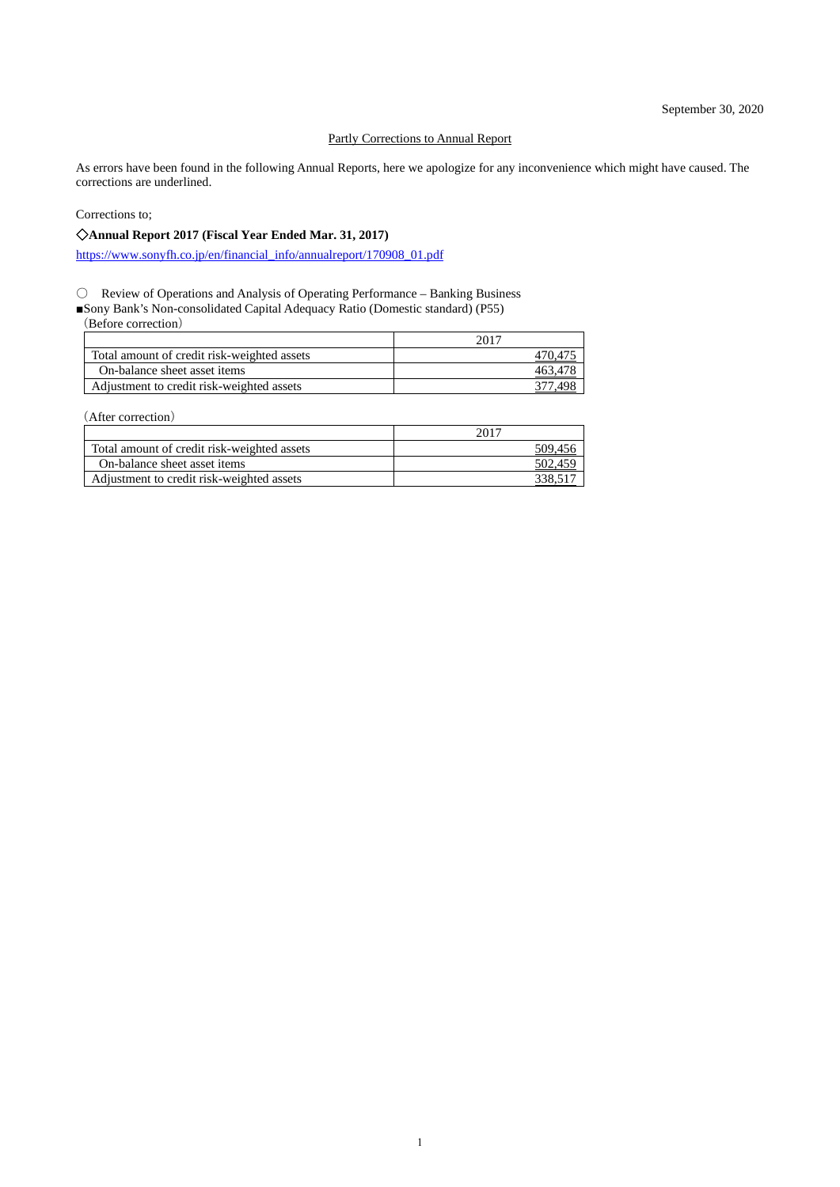#### Partly Corrections to Annual Report

As errors have been found in the following Annual Reports, here we apologize for any inconvenience which might have caused. The corrections are underlined.

Corrections to;

### ◇**Annual Report 2017 (Fiscal Year Ended Mar. 31, 2017)**

[https://www.sonyfh.co.jp/en/financial\\_info/annualreport/170908\\_01.pdf](https://www.sonyfh.co.jp/en/financial_info/annualreport/170908_01.pdf)

○ Review of Operations and Analysis of Operating Performance – Banking Business

■Sony Bank's Non-consolidated Capital Adequacy Ratio (Domestic standard) (P55)

(Before correction)

| Total amount of credit risk-weighted assets |  |
|---------------------------------------------|--|
| On-balance sheet asset items                |  |
| Adjustment to credit risk-weighted assets   |  |

(After correction)

|                                             | 2017    |
|---------------------------------------------|---------|
| Total amount of credit risk-weighted assets | 509,456 |
| On-balance sheet asset items                | 502,459 |
| Adjustment to credit risk-weighted assets   |         |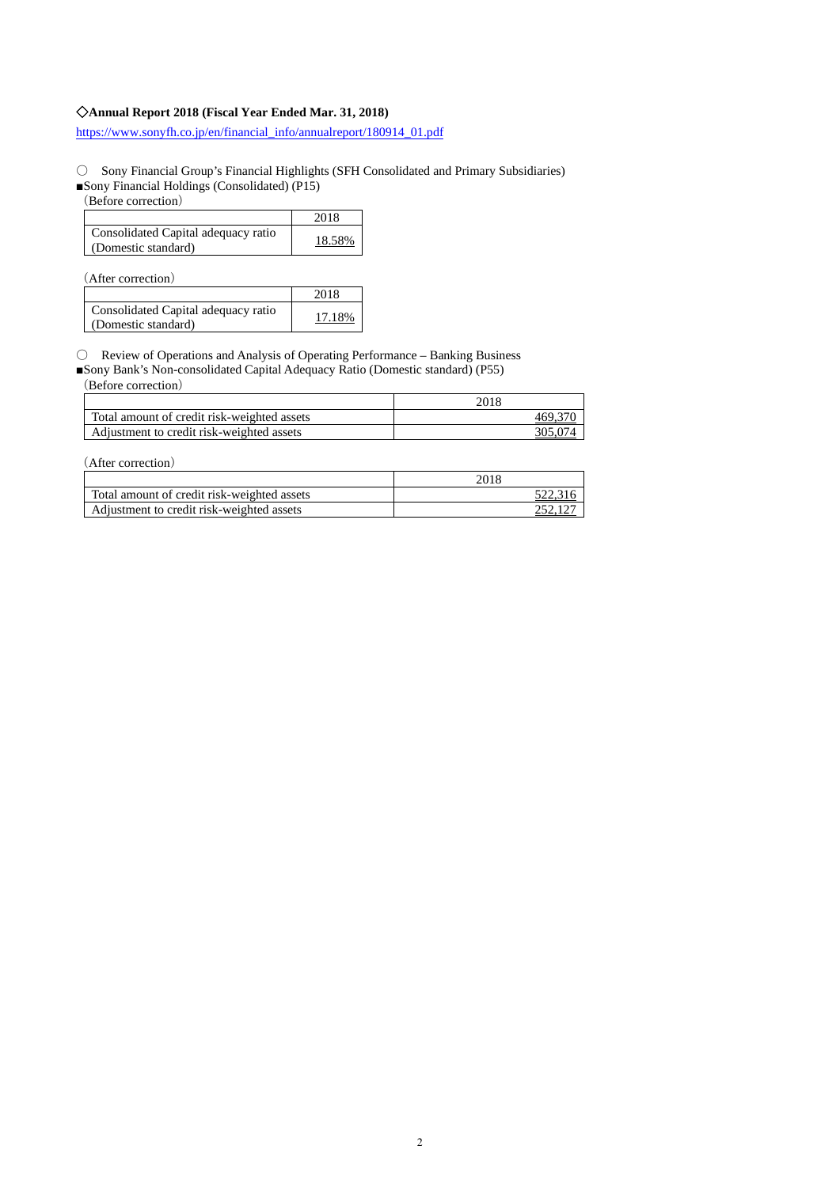### ◇**Annual Report 2018 (Fiscal Year Ended Mar. 31, 2018)**

[https://www.sonyfh.co.jp/en/financial\\_info/annualreport/180914\\_01.pdf](https://www.sonyfh.co.jp/en/financial_info/annualreport/180914_01.pdf)

○ Sony Financial Group's Financial Highlights (SFH Consolidated and Primary Subsidiaries)

■Sony Financial Holdings (Consolidated) (P15)

(Before correction)

|                                                            | 2018   |
|------------------------------------------------------------|--------|
| Consolidated Capital adequacy ratio<br>(Domestic standard) | 18.58% |

(After correction)

|                                                            | 2018   |
|------------------------------------------------------------|--------|
| Consolidated Capital adequacy ratio<br>(Domestic standard) | 17.18% |

○ Review of Operations and Analysis of Operating Performance – Banking Business

■Sony Bank's Non-consolidated Capital Adequacy Ratio (Domestic standard) (P55)

(Before correction)

|                                             | 2018 |
|---------------------------------------------|------|
| Total amount of credit risk-weighted assets |      |
| Adjustment to credit risk-weighted assets   |      |

(After correction)

|                                             | 2018 |
|---------------------------------------------|------|
| Total amount of credit risk-weighted assets |      |
| Adjustment to credit risk-weighted assets   |      |